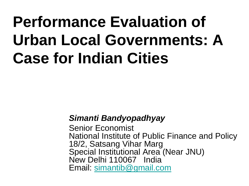# **Performance Evaluation of Urban Local Governments: A Case for Indian Cities**

#### *Simanti Bandyopadhyay*

Senior Economist National Institute of Public Finance and Policy 18/2, Satsang Vihar Marg Special Institutional Area (Near JNU) New Delhi 110067 India Email: [simantib@gmail.com](mailto:simantib@gmail.com)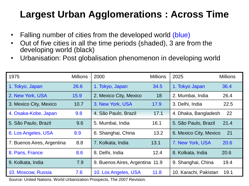#### **Largest Urban Agglomerations : Across Time**

- Falling number of cities from the developed world (blue)
- Out of five cities in all the time periods (shaded), 3 are from the developing world (black)
- Urbanisation: Post globalisation phenomenon in developing world

| 1975                       | <b>Millions</b> | 2000                            | <b>Millions</b> | 2025                   | <b>Millions</b> |
|----------------------------|-----------------|---------------------------------|-----------------|------------------------|-----------------|
| 1. Tokyo, Japan            | 26.6            | 1. Tokyo, Japan                 | 34.5            | 1. Tokyo Japan         | 36.4            |
| 2. New York, USA           | 15.9            | 2. Mexico City, Mexico          | 18              | 2. Mumbai, India       | 26.4            |
| 3. Mexico City, Mexico     | 10.7            | 3. New York, USA                | 17.9            | 3. Delhi, India        | 22.5            |
| 4. Osaka-Kobe, Japan       | 9.8             | 4. São Paulo, Brazil            | 17.1            | 4. Dhaka, Bangladesh   | 22              |
| 5. São Paulo, Brazil       | 9.6             | 5. Mumbai, India                | 16.1            | 5. São Paulo, Brazil   | 21.4            |
| 6. Los Angeles, USA        | 8.9             | 6. Shanghai, China              | 13.2            | 6. Mexico City, Mexico | 21              |
| 7. Buenos Aires, Argentina | 8.8             | 7. Kolkata, India               | 13.1            | 7. New York, USA       | 20.6            |
| 8. Paris, France           | 8.6             | 8. Delhi, India                 | 12.4            | 8. Kolkata, India      | 20.6            |
| 9. Kolkata, India          | 7.9             | 9. Buenos Aires, Argentina 11.9 |                 | 9. Shanghai, China     | 19.4            |
| 10. Moscow, Russia         | 7.6             | 10. Los Angeles, USA            | 11.8            | 10. Karachi, Pakistan  | 19.1            |

Source: United Nations, World Urbanization Prospects, The 2007 Revision.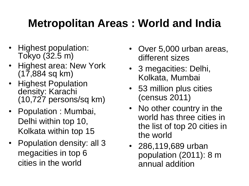### **Metropolitan Areas : World and India**

- Highest population: Tokyo (32.5 m)
- Highest area: New York (17,884 sq km)
- Highest Population density: Karachi (10,727 persons/sq km)
- Population : Mumbai, Delhi within top 10, Kolkata within top 15
- Population density: all 3 megacities in top 6 cities in the world
- Over 5,000 urban areas, different sizes
- 3 megacities: Delhi, Kolkata, Mumbai
- 53 million plus cities (census 2011)
- No other country in the world has three cities in the list of top 20 cities in the world
- 286,119,689 urban population (2011): 8 m annual addition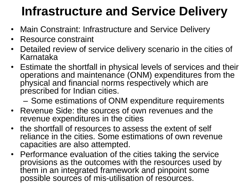## **Infrastructure and Service Delivery**

- Main Constraint: Infrastructure and Service Delivery
- Resource constraint
- Detailed review of service delivery scenario in the cities of Karnataka
- Estimate the shortfall in physical levels of services and their operations and maintenance (ONM) expenditures from the physical and financial norms respectively which are prescribed for Indian cities.

– Some estimations of ONM expenditure requirements

- Revenue Side: the sources of own revenues and the revenue expenditures in the cities
- the shortfall of resources to assess the extent of self reliance in the cities. Some estimations of own revenue capacities are also attempted.
- Performance evaluation of the cities taking the service provisions as the outcomes with the resources used by them in an integrated framework and pinpoint some possible sources of mis-utilisation of resources.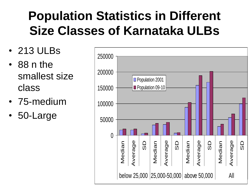## **Population Statistics in Different Size Classes of Karnataka ULBs**

- 213 ULBs
- 88 n the smallest size class
- 75-medium
- 50-Large

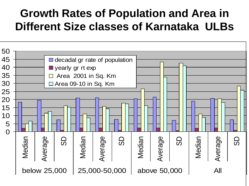#### **Growth Rates of Population and Area in Different Size classes of Karnataka ULBs**

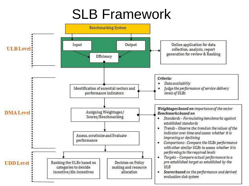## SLB Framework

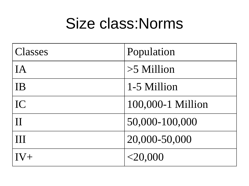## Size class:Norms

| <b>Classes</b> | Population        |
|----------------|-------------------|
| IA             | $>5$ Million      |
| IB             | 1-5 Million       |
| IC             | 100,000-1 Million |
| $\prod$        | 50,000-100,000    |
| III            | 20,000-50,000     |
| $IV+$          | $<$ 20,000        |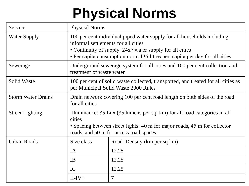## **Physical Norms**

| Service                   | <b>Physical Norms</b>                                                                                                                                                                                                                                    |                             |  |  |  |  |  |
|---------------------------|----------------------------------------------------------------------------------------------------------------------------------------------------------------------------------------------------------------------------------------------------------|-----------------------------|--|--|--|--|--|
| <b>Water Supply</b>       | 100 per cent individual piped water supply for all households including<br>informal settlements for all cities<br>• Continuity of supply: 24x7 water supply for all cities<br>• Per capita consumption norm:135 litres per capita per day for all cities |                             |  |  |  |  |  |
| Sewerage                  | Underground sewerage system for all cities and 100 per cent collection and<br>treatment of waste water                                                                                                                                                   |                             |  |  |  |  |  |
| <b>Solid Waste</b>        | 100 per cent of solid waste collected, transported, and treated for all cities as<br>per Municipal Solid Waste 2000 Rules                                                                                                                                |                             |  |  |  |  |  |
| <b>Storm Water Drains</b> | Drain network covering 100 per cent road length on both sides of the road<br>for all cities                                                                                                                                                              |                             |  |  |  |  |  |
| <b>Street Lighting</b>    | Illuminance: 35 Lux (35 lumens per sq. km) for all road categories in all<br>cities<br>• Spacing between street lights: 40 m for major roads, 45 m for collector<br>roads, and 50 m for access road spaces                                               |                             |  |  |  |  |  |
| <b>Urban Roads</b>        | Size class                                                                                                                                                                                                                                               | Road Density (km per sq km) |  |  |  |  |  |
|                           | IA                                                                                                                                                                                                                                                       | 12.25                       |  |  |  |  |  |
|                           | <b>IB</b>                                                                                                                                                                                                                                                | 12.25                       |  |  |  |  |  |
|                           | IC                                                                                                                                                                                                                                                       | 12.25                       |  |  |  |  |  |
|                           | 7<br>$II$ - $IV$ +                                                                                                                                                                                                                                       |                             |  |  |  |  |  |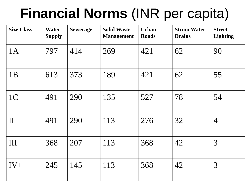## **Financial Norms** (INR per capita)

| <b>Size Class</b> | <b>Water</b><br><b>Supply</b> | <b>Sewerage</b> | <b>Solid Waste</b><br><b>Management</b> | <b>Urban</b><br><b>Roads</b> | <b>Strom Water</b><br><b>Drains</b> | <b>Street</b><br><b>Lighting</b> |
|-------------------|-------------------------------|-----------------|-----------------------------------------|------------------------------|-------------------------------------|----------------------------------|
| 1A                | 797                           | 414             | 269                                     | 421                          | 62                                  | 90                               |
| 1B                | 613                           | 373             | 189                                     | 421                          | 62                                  | 55                               |
| 1 <sup>C</sup>    | 491                           | 290             | 135                                     | 527                          | 78                                  | 54                               |
| $\prod$           | 491                           | 290             | 113                                     | 276                          | 32                                  | $\overline{4}$                   |
| III               | 368                           | 207             | 113                                     | 368                          | 42                                  | 3                                |
| $IV+$             | 245                           | 145             | 113                                     | 368                          | 42                                  | 3                                |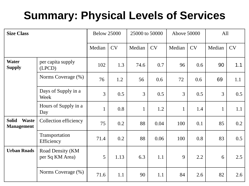## **Summary: Physical Levels of Services**

| <b>Size Class</b>                                 |                                     | <b>Below 25000</b> |           | 25000 to 50000 |           | <b>Above 50000</b> |           | All         |           |
|---------------------------------------------------|-------------------------------------|--------------------|-----------|----------------|-----------|--------------------|-----------|-------------|-----------|
|                                                   |                                     | Median             | <b>CV</b> | Median         | <b>CV</b> | Median             | <b>CV</b> | Median      | <b>CV</b> |
| <b>Water</b><br><b>Supply</b>                     | per capita supply<br>(LPCD)         | 102                | 1.3       | 74.6           | 0.7       | 96                 | 0.6       | 90          | 1.1       |
|                                                   | Norms Coverage (%)                  | 76                 | 1.2       | 56             | 0.6       | 72                 | 0.6       | 69          | 1.1       |
|                                                   | Days of Supply in a<br>Week         | $\overline{3}$     | 0.5       | $\overline{3}$ | 0.5       | $\overline{3}$     | 0.5       | 3           | 0.5       |
|                                                   | Hours of Supply in a<br>Day         | $\mathbf{1}$       | 0.8       | $\mathbf{1}$   | 1.2       | $\mathbf{1}$       | 1.4       | $\mathbf 1$ | 1.1       |
| <b>Solid</b><br><b>Waste</b><br><b>Management</b> | Collection efficiency               | 75                 | 0.2       | 88             | 0.04      | 100                | 0.1       | 85          | 0.2       |
|                                                   | Transportation<br>Efficiency        | 71.4               | 0.2       | 88             | 0.06      | 100                | 0.8       | 83          | 0.5       |
| <b>Urban Roads</b>                                | Road Density (KM<br>per Sq KM Area) | 5                  | 1.13      | 6.3            | 1.1       | 9                  | 2.2       | 6           | 2.5       |
|                                                   | Norms Coverage (%)                  | 71.6               | 1.1       | 90             | 1.1       | 84                 | 2.6       | 82          | 2.6       |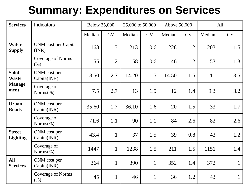## **Summary: Expenditures on Services**

| <b>Services</b>                  | Indicators                          | <b>Below 25,000</b> |              | 25,000 to 50,000 |              | Above 50,000 |                | All    |              |
|----------------------------------|-------------------------------------|---------------------|--------------|------------------|--------------|--------------|----------------|--------|--------------|
|                                  |                                     | Median              | <b>CV</b>    | Median           | <b>CV</b>    | Median       | <b>CV</b>      | Median | <b>CV</b>    |
| <b>Water</b><br><b>Supply</b>    | <b>ONM</b> cost per Capita<br>(INR) | 168                 | 1.3          | 213              | 0.6          | 228          | $\overline{2}$ | 203    | 1.5          |
|                                  | <b>Coverage of Norms</b><br>(% )    | 55                  | 1.2          | 58               | 0.6          | 46           | $\overline{2}$ | 53     | 1.3          |
| <b>Solid</b><br><b>Waste</b>     | ONM cost per<br>Capita(INR)         | 8.50                | 2.7          | 14.20            | 1.5          | 14.50        | 1.5            | 11     | 3.5          |
| <b>Manage</b><br>ment            | Coverage of<br>$Norms(\%)$          | 7.5                 | 2.7          | 13               | 1.5          | 12           | 1.4            | 9.3    | 3.2          |
| <b>Urban</b><br><b>Roads</b>     | ONM cost per<br>Capita(INR)         | 35.60               | 1.7          | 36.10            | 1.6          | 20           | 1.5            | 33     | 1.7          |
|                                  | Coverage of<br>$Norms(\%)$          | 71.6                | 1.1          | 90               | 1.1          | 84           | 2.6            | 82     | 2.6          |
| <b>Street</b><br><b>Lighting</b> | ONM cost per<br>Capita(INR)         | 43.4                | $\mathbf{1}$ | 37               | 1.5          | 39           | 0.8            | 42     | 1.2          |
|                                  | Coverage of<br>$Norms(\%)$          | 1447                | $\mathbf{1}$ | 1238             | 1.5          | 211          | 1.5            | 1151   | 1.4          |
| <b>All</b><br><b>Services</b>    | ONM cost per<br>Capita(INR)         | 364                 | $\mathbf{1}$ | 390              | $\mathbf{1}$ | 352          | 1.4            | 372    | $\mathbf{1}$ |
|                                  | <b>Coverage of Norms</b><br>(% )    | 45                  | $\mathbf{1}$ | 46               | $\mathbf{1}$ | 36           | 1.2            | 43     | $\mathbf{1}$ |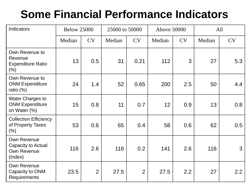### **Some Financial Performance Indicators**

| Indicators                                                                | <b>Below 25000</b> |                | 25000 to 50000 |                | <b>Above 50000</b> |           | All    |           |  |
|---------------------------------------------------------------------------|--------------------|----------------|----------------|----------------|--------------------|-----------|--------|-----------|--|
|                                                                           | Median             | <b>CV</b>      | Median         | <b>CV</b>      | Median             | <b>CV</b> | Median | <b>CV</b> |  |
| Own Revenue to<br>Revenue<br><b>Expenditure Ratio</b><br>$(\%)$           | 13                 | 0.5            | 31             | 0.21           | 112                | 3         | 27     | 5.3       |  |
| Own Revenue to<br><b>ONM Expenditure</b><br>ratio $(\%)$                  | 24                 | 1.4            | 52             | 0.65           | 200                | 2.5       | 50     | 4.4       |  |
| <b>Water Charges to</b><br><b>ONM Expenditure</b><br>on Water (%)         | 15                 | 0.8            | 11             | 0.7            | 12                 | 0.9       | 13     | 0.8       |  |
| <b>Collection Efficiency</b><br>of Property Taxes<br>$(\%)$               | 53                 | 0.6            | 65             | 0.4            | 58                 | 0.6       | 62     | 0.5       |  |
| <b>Own Revenue</b><br>Capacity to Actual<br><b>Own Revenue</b><br>(Index) | 116                | 2.6            | 116            | 0.2            | 141                | 2.6       | 116    | 3         |  |
| <b>Own Revenue</b><br>Capacity to ONM<br>Requirements                     | 23.5               | $\overline{2}$ | 27.5           | $\overline{2}$ | 27.5               | 2.2       | 27     | 2.2       |  |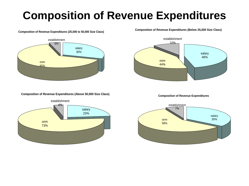### **Composition of Revenue Expenditures**

#### **Composition of Revenue Expenditures (25,000 to 50,000 Size Class)**



**Composition of Revenue Expenditures (Below 25,000 Size Class)**



**Composition of Revenue Expenditures (Above 50,000 Size Class)**



**Composition of Revenue Expenditures**

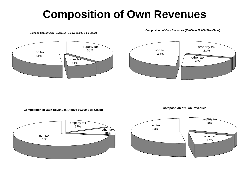#### **Composition of Own Revenues**



**Composition of Own Revenues (Below 25,000 Size Class)**

**Composition of Own Revenues (25,000 to 50,000 Size Class)**

#### **Composition of Own Revenues (Above 50,000 Size Class)**





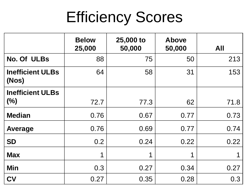## Efficiency Scores

|                                  | <b>Below</b><br>25,000 | 25,000 to<br>50,000 | <b>Above</b><br>50,000 | <b>All</b> |
|----------------------------------|------------------------|---------------------|------------------------|------------|
| <b>No. Of ULBs</b>               | 88                     | 75                  | 50                     | 213        |
| <b>Inefficient ULBs</b><br>(Nos) | 64                     | 58                  | 31                     | 153        |
| <b>Inefficient ULBs</b><br>(%)   | 72.7                   | 77.3                | 62                     | 71.8       |
| <b>Median</b>                    | 0.76                   | 0.67                | 0.77                   | 0.73       |
| <b>Average</b>                   | 0.76                   | 0.69                | 0.77                   | 0.74       |
| <b>SD</b>                        | 0.2                    | 0.24                | 0.22                   | 0.22       |
| <b>Max</b>                       | 1                      | 1                   |                        |            |
| <b>Min</b>                       | 0.3                    | 0.27                | 0.34                   | 0.27       |
| <b>CV</b>                        | 0.27                   | 0.35                | 0.28                   | 0.3        |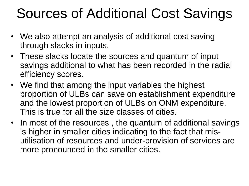## Sources of Additional Cost Savings

- We also attempt an analysis of additional cost saving through slacks in inputs.
- These slacks locate the sources and quantum of input savings additional to what has been recorded in the radial efficiency scores.
- We find that among the input variables the highest proportion of ULBs can save on establishment expenditure and the lowest proportion of ULBs on ONM expenditure. This is true for all the size classes of cities.
- In most of the resources, the quantum of additional savings is higher in smaller cities indicating to the fact that misutilisation of resources and under-provision of services are more pronounced in the smaller cities.